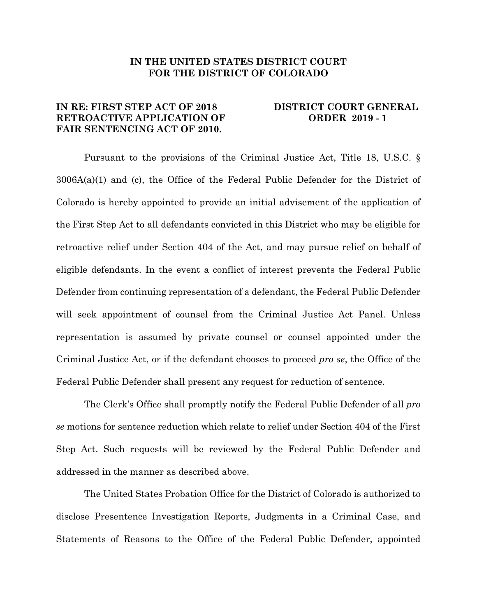## **IN THE UNITED STATES DISTRICT COURT FOR THE DISTRICT OF COLORADO**

## **IN RE: FIRST STEP ACT OF 2018 DISTRICT COURT GENERAL RETROACTIVE APPLICATION OF ORDER 2019 - 1 FAIR SENTENCING ACT OF 2010.**

Pursuant to the provisions of the Criminal Justice Act, Title 18, U.S.C. § 3006A(a)(1) and (c), the Office of the Federal Public Defender for the District of Colorado is hereby appointed to provide an initial advisement of the application of the First Step Act to all defendants convicted in this District who may be eligible for retroactive relief under Section 404 of the Act, and may pursue relief on behalf of eligible defendants. In the event a conflict of interest prevents the Federal Public Defender from continuing representation of a defendant, the Federal Public Defender will seek appointment of counsel from the Criminal Justice Act Panel. Unless representation is assumed by private counsel or counsel appointed under the Criminal Justice Act, or if the defendant chooses to proceed *pro se*, the Office of the Federal Public Defender shall present any request for reduction of sentence.

The Clerk's Office shall promptly notify the Federal Public Defender of all *pro se* motions for sentence reduction which relate to relief under Section 404 of the First Step Act. Such requests will be reviewed by the Federal Public Defender and addressed in the manner as described above.

The United States Probation Office for the District of Colorado is authorized to disclose Presentence Investigation Reports, Judgments in a Criminal Case, and Statements of Reasons to the Office of the Federal Public Defender, appointed